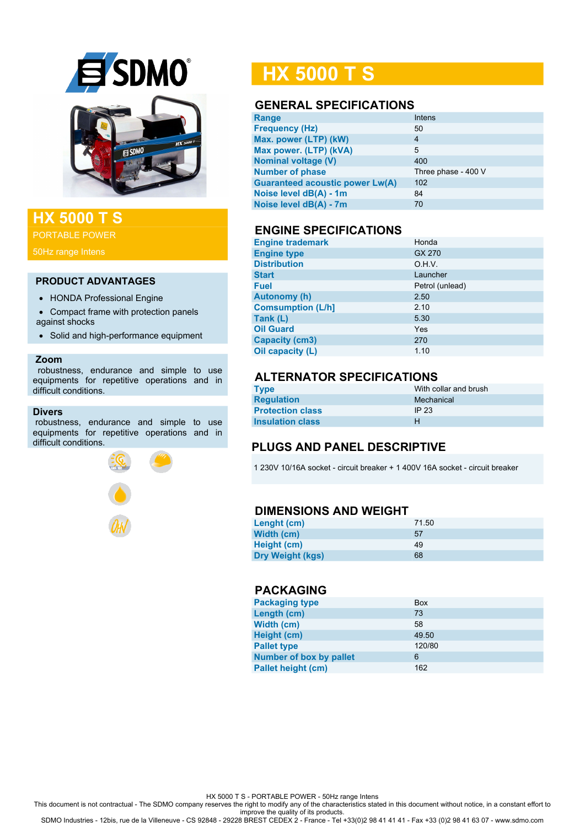

# **HX 5000 T S**

PORTABLE POWER

#### **PRODUCT ADVANTAGES**

- HONDA Professional Engine
- Compact frame with protection panels against shocks
- Solid and high-performance equipment

#### **Zoom**

 robustness, endurance and simple to use equipments for repetitive operations and in difficult conditions.

#### **Divers**

robustness, endurance and simple to use equipments for repetitive operations and in difficult conditions.



# **HX 5000 T S**

## **GENERAL SPECIFICATIONS**

| Range                                  | Intens              |
|----------------------------------------|---------------------|
| <b>Frequency (Hz)</b>                  | 50                  |
| Max. power (LTP) (kW)                  | 4                   |
| Max power. (LTP) (kVA)                 | 5                   |
| <b>Nominal voltage (V)</b>             | 400                 |
| <b>Number of phase</b>                 | Three phase - 400 V |
| <b>Guaranteed acoustic power Lw(A)</b> | 102                 |
| Noise level dB(A) - 1m                 | 84                  |
| Noise level dB(A) - 7m                 | 70                  |
|                                        |                     |

#### **ENGINE SPECIFICATIONS**

| <b>Engine trademark</b>  | Honda           |
|--------------------------|-----------------|
| <b>Engine type</b>       | GX 270          |
| <b>Distribution</b>      | O.H.V.          |
| <b>Start</b>             | Launcher        |
| <b>Fuel</b>              | Petrol (unlead) |
| <b>Autonomy (h)</b>      | 2.50            |
| <b>Comsumption (L/h]</b> | 2.10            |
| Tank (L)                 | 5.30            |
| <b>Oil Guard</b>         | Yes             |
| <b>Capacity (cm3)</b>    | 270             |
| Oil capacity (L)         | 1.10            |

# **ALTERNATOR SPECIFICATIONS**

| Type                    | With collar and brush |
|-------------------------|-----------------------|
| <b>Regulation</b>       | Mechanical            |
| <b>Protection class</b> | IP 23                 |
| <b>Insulation class</b> | н                     |

## **PLUGS AND PANEL DESCRIPTIVE**

1 230V 10/16A socket - circuit breaker + 1 400V 16A socket - circuit breaker

#### **DIMENSIONS AND WEIGHT**

| Lenght (cm)             | 71.50 |
|-------------------------|-------|
| Width (cm)              | 57    |
| Height (cm)             | 49    |
| <b>Dry Weight (kgs)</b> | 68    |

#### **PACKAGING**

| <b>Packaging type</b>          | <b>Box</b> |
|--------------------------------|------------|
| Length (cm)                    | 73         |
| Width (cm)                     | 58         |
| Height (cm)                    | 49.50      |
| <b>Pallet type</b>             | 120/80     |
| <b>Number of box by pallet</b> | 6          |
| <b>Pallet height (cm)</b>      | 162        |

HX 5000 T S - PORTABLE POWER - 50Hz range Intens

This document is not contractual - The SDMO company reserves the right to modify any of the characteristics stated in this document without notice, in a constant effort to

improve the quality of its products. SDMO Industries - 12bis, rue de la Villeneuve - CS 92848 - 29228 BREST CEDEX 2 - France - Tel +33(0)2 98 41 41 41 - Fax +33 (0)2 98 41 63 07 - www.sdmo.com